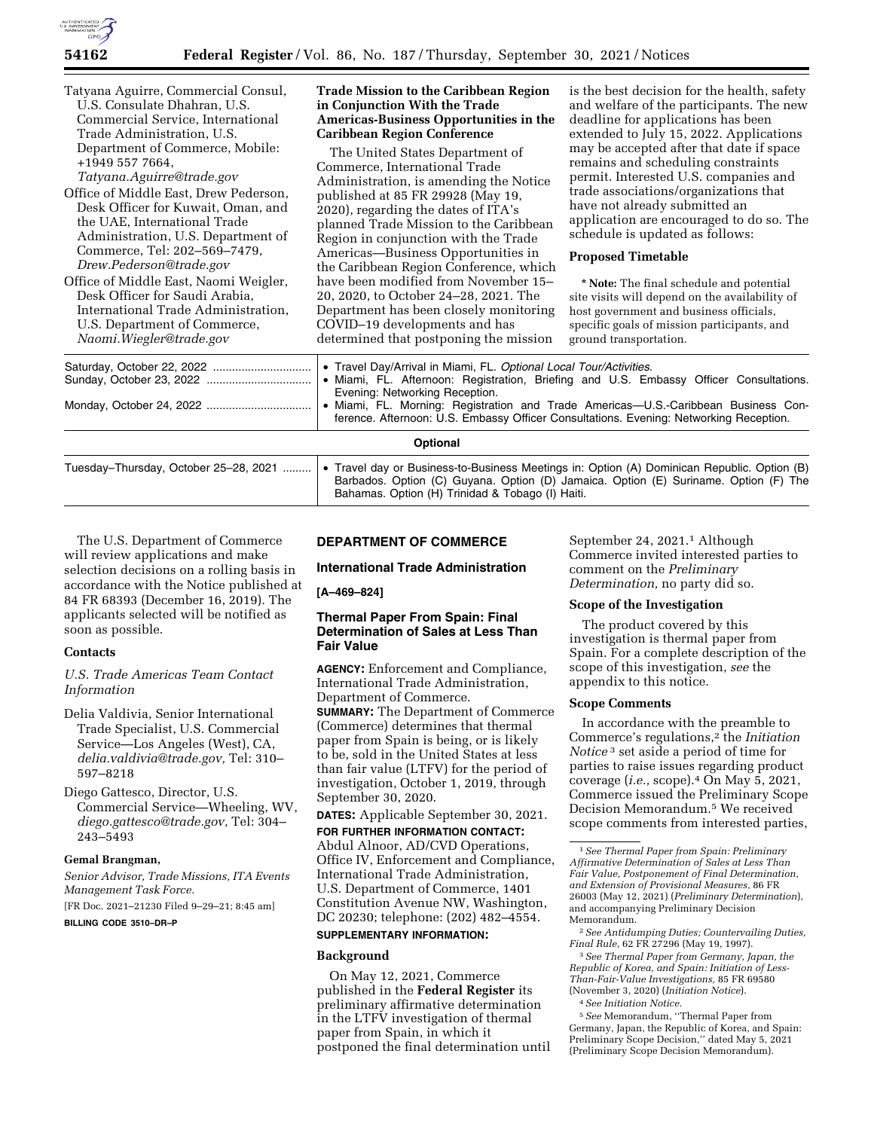

| Tatyana Aguirre, Commercial Consul,<br>U.S. Consulate Dhahran, U.S.<br>Commercial Service, International<br>Trade Administration, U.S.<br>Department of Commerce, Mobile:<br>+1949 557 7664,<br>Tatyana.Aguirre@trade.gov<br>Office of Middle East, Drew Pederson,<br>Desk Officer for Kuwait, Oman, and<br>the UAE, International Trade<br>Administration, U.S. Department of<br>Commerce, Tel: 202-569-7479,<br>Drew.Pederson@trade.gov<br>Office of Middle East, Naomi Weigler,<br>Desk Officer for Saudi Arabia,<br>International Trade Administration,<br>U.S. Department of Commerce,<br>Naomi.Wiegler@trade.gov | <b>Trade Mission to the Caribbean Region</b><br>in Conjunction With the Trade<br>Americas-Business Opportunities in the<br><b>Caribbean Region Conference</b><br>The United States Department of<br>Commerce, International Trade<br>Administration, is amending the Notice<br>published at 85 FR 29928 (May 19,<br>2020), regarding the dates of ITA's<br>planned Trade Mission to the Caribbean<br>Region in conjunction with the Trade<br>Americas-Business Opportunities in<br>the Caribbean Region Conference, which<br>have been modified from November 15-<br>20, 2020, to October 24–28, 2021. The<br>Department has been closely monitoring<br>COVID-19 developments and has<br>determined that postponing the mission | is the best decision for the health, safety<br>and welfare of the participants. The new<br>deadline for applications has been<br>extended to July 15, 2022. Applications<br>may be accepted after that date if space<br>remains and scheduling constraints<br>permit. Interested U.S. companies and<br>trade associations/organizations that<br>have not already submitted an<br>application are encouraged to do so. The<br>schedule is updated as follows:<br><b>Proposed Timetable</b><br>* Note: The final schedule and potential<br>site visits will depend on the availability of<br>host government and business officials,<br>specific goals of mission participants, and<br>ground transportation. |  |
|------------------------------------------------------------------------------------------------------------------------------------------------------------------------------------------------------------------------------------------------------------------------------------------------------------------------------------------------------------------------------------------------------------------------------------------------------------------------------------------------------------------------------------------------------------------------------------------------------------------------|---------------------------------------------------------------------------------------------------------------------------------------------------------------------------------------------------------------------------------------------------------------------------------------------------------------------------------------------------------------------------------------------------------------------------------------------------------------------------------------------------------------------------------------------------------------------------------------------------------------------------------------------------------------------------------------------------------------------------------|-------------------------------------------------------------------------------------------------------------------------------------------------------------------------------------------------------------------------------------------------------------------------------------------------------------------------------------------------------------------------------------------------------------------------------------------------------------------------------------------------------------------------------------------------------------------------------------------------------------------------------------------------------------------------------------------------------------|--|
|                                                                                                                                                                                                                                                                                                                                                                                                                                                                                                                                                                                                                        | • Travel Day/Arrival in Miami, FL. Optional Local Tour/Activities.<br>• Miami, FL. Afternoon: Registration, Briefing and U.S. Embassy Officer Consultations.<br>Evening: Networking Reception.<br>• Miami, FL. Morning: Registration and Trade Americas-U.S.-Caribbean Business Con-<br>ference. Afternoon: U.S. Embassy Officer Consultations. Evening: Networking Reception.                                                                                                                                                                                                                                                                                                                                                  |                                                                                                                                                                                                                                                                                                                                                                                                                                                                                                                                                                                                                                                                                                             |  |
| Optional                                                                                                                                                                                                                                                                                                                                                                                                                                                                                                                                                                                                               |                                                                                                                                                                                                                                                                                                                                                                                                                                                                                                                                                                                                                                                                                                                                 |                                                                                                                                                                                                                                                                                                                                                                                                                                                                                                                                                                                                                                                                                                             |  |
| Tuesday-Thursday, October 25-28, 2021                                                                                                                                                                                                                                                                                                                                                                                                                                                                                                                                                                                  | Bahamas. Option (H) Trinidad & Tobago (I) Haiti.                                                                                                                                                                                                                                                                                                                                                                                                                                                                                                                                                                                                                                                                                | • Travel day or Business-to-Business Meetings in: Option (A) Dominican Republic. Option (B)<br>Barbados. Option (C) Guyana. Option (D) Jamaica. Option (E) Suriname. Option (F) The                                                                                                                                                                                                                                                                                                                                                                                                                                                                                                                         |  |

The U.S. Department of Commerce will review applications and make selection decisions on a rolling basis in accordance with the Notice published at 84 FR 68393 (December 16, 2019). The applicants selected will be notified as soon as possible.

# **Contacts**

*U.S. Trade Americas Team Contact Information* 

- Delia Valdivia, Senior International Trade Specialist, U.S. Commercial Service—Los Angeles (West), CA, *delia.valdivia@trade.gov,* Tel: 310– 597–8218
- Diego Gattesco, Director, U.S. Commercial Service—Wheeling, WV, *diego.gattesco@trade.gov,* Tel: 304– 243–5493

### **Gemal Brangman,**

*Senior Advisor, Trade Missions, ITA Events Management Task Force.* 

[FR Doc. 2021–21230 Filed 9–29–21; 8:45 am]

**BILLING CODE 3510–DR–P** 

# **DEPARTMENT OF COMMERCE**

# **International Trade Administration**

**[A–469–824]** 

# **Thermal Paper From Spain: Final Determination of Sales at Less Than Fair Value**

**AGENCY:** Enforcement and Compliance, International Trade Administration, Department of Commerce.

**SUMMARY:** The Department of Commerce (Commerce) determines that thermal paper from Spain is being, or is likely to be, sold in the United States at less than fair value (LTFV) for the period of investigation, October 1, 2019, through September 30, 2020.

**DATES:** Applicable September 30, 2021.

## **FOR FURTHER INFORMATION CONTACT:**

Abdul Alnoor, AD/CVD Operations, Office IV, Enforcement and Compliance, International Trade Administration, U.S. Department of Commerce, 1401 Constitution Avenue NW, Washington, DC 20230; telephone: (202) 482–4554.

# **SUPPLEMENTARY INFORMATION:**

# **Background**

On May 12, 2021, Commerce published in the **Federal Register** its preliminary affirmative determination in the LTFV investigation of thermal paper from Spain, in which it postponed the final determination until September 24, 2021.1 Although Commerce invited interested parties to comment on the *Preliminary* 

### **Scope of the Investigation**

*Determination,* no party did so.

The product covered by this investigation is thermal paper from Spain. For a complete description of the scope of this investigation, *see* the appendix to this notice.

### **Scope Comments**

In accordance with the preamble to Commerce's regulations,2 the *Initiation Notice* 3 set aside a period of time for parties to raise issues regarding product coverage (*i.e.,* scope).4 On May 5, 2021, Commerce issued the Preliminary Scope Decision Memorandum.5 We received scope comments from interested parties,

3*See Thermal Paper from Germany, Japan, the Republic of Korea, and Spain: Initiation of Less-Than-Fair-Value Investigations,* 85 FR 69580 (November 3, 2020) (*Initiation Notice*).

# 4*See Initiation Notice.*

5*See* Memorandum, ''Thermal Paper from Germany, Japan, the Republic of Korea, and Spain: Preliminary Scope Decision,'' dated May 5, 2021 (Preliminary Scope Decision Memorandum).

<sup>1</sup>*See Thermal Paper from Spain: Preliminary Affirmative Determination of Sales at Less Than Fair Value, Postponement of Final Determination, and Extension of Provisional Measures,* 86 FR 26003 (May 12, 2021) (*Preliminary Determination*), and accompanying Preliminary Decision Memorandum.

<sup>2</sup>*See Antidumping Duties; Countervailing Duties, Final Rule,* 62 FR 27296 (May 19, 1997).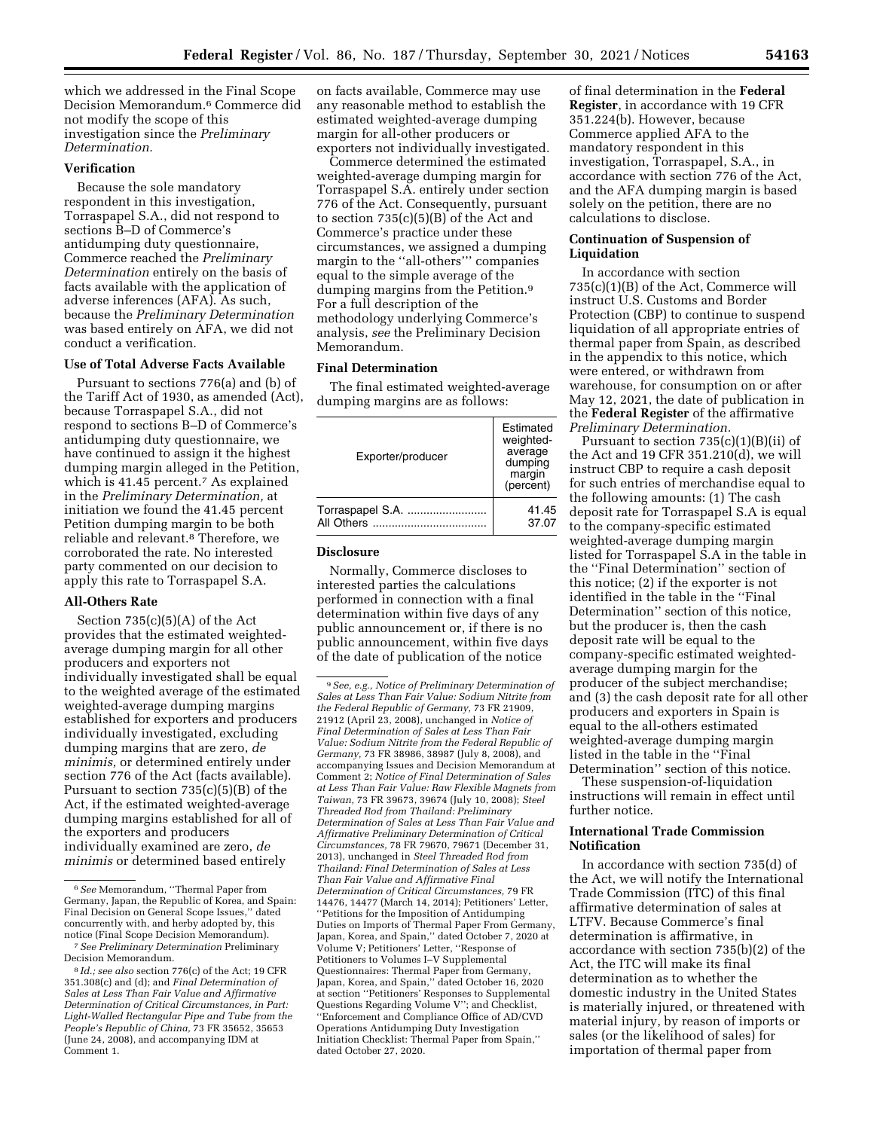which we addressed in the Final Scope Decision Memorandum.6 Commerce did not modify the scope of this investigation since the *Preliminary Determination.* 

# **Verification**

Because the sole mandatory respondent in this investigation, Torraspapel S.A., did not respond to sections B–D of Commerce's antidumping duty questionnaire, Commerce reached the *Preliminary Determination* entirely on the basis of facts available with the application of adverse inferences (AFA). As such, because the *Preliminary Determination*  was based entirely on AFA, we did not conduct a verification.

# **Use of Total Adverse Facts Available**

Pursuant to sections 776(a) and (b) of the Tariff Act of 1930, as amended (Act), because Torraspapel S.A., did not respond to sections B–D of Commerce's antidumping duty questionnaire, we have continued to assign it the highest dumping margin alleged in the Petition, which is 41.45 percent.<sup>7</sup> As explained in the *Preliminary Determination,* at initiation we found the 41.45 percent Petition dumping margin to be both reliable and relevant.8 Therefore, we corroborated the rate. No interested party commented on our decision to apply this rate to Torraspapel S.A.

# **All-Others Rate**

Section 735(c)(5)(A) of the Act provides that the estimated weightedaverage dumping margin for all other producers and exporters not individually investigated shall be equal to the weighted average of the estimated weighted-average dumping margins established for exporters and producers individually investigated, excluding dumping margins that are zero, *de minimis,* or determined entirely under section 776 of the Act (facts available). Pursuant to section 735(c)(5)(B) of the Act, if the estimated weighted-average dumping margins established for all of the exporters and producers individually examined are zero, *de minimis* or determined based entirely

on facts available, Commerce may use any reasonable method to establish the estimated weighted-average dumping margin for all-other producers or exporters not individually investigated.

Commerce determined the estimated weighted-average dumping margin for Torraspapel S.A. entirely under section 776 of the Act. Consequently, pursuant to section  $735(c)(5)(B)$  of the Act and Commerce's practice under these circumstances, we assigned a dumping margin to the ''all-others''' companies equal to the simple average of the dumping margins from the Petition.9 For a full description of the methodology underlying Commerce's analysis, *see* the Preliminary Decision Memorandum.

# **Final Determination**

The final estimated weighted-average dumping margins are as follows:

| Exporter/producer | Estimated<br>weighted-<br>average<br>dumping<br>margin<br>(percent) |
|-------------------|---------------------------------------------------------------------|
| Torraspapel S.A.  | 41.45                                                               |
| All Others        | 37.07                                                               |

# **Disclosure**

Normally, Commerce discloses to interested parties the calculations performed in connection with a final determination within five days of any public announcement or, if there is no public announcement, within five days of the date of publication of the notice

of final determination in the **Federal Register**, in accordance with 19 CFR 351.224(b). However, because Commerce applied AFA to the mandatory respondent in this investigation, Torraspapel, S.A., in accordance with section 776 of the Act, and the AFA dumping margin is based solely on the petition, there are no calculations to disclose.

# **Continuation of Suspension of Liquidation**

In accordance with section 735(c)(1)(B) of the Act, Commerce will instruct U.S. Customs and Border Protection (CBP) to continue to suspend liquidation of all appropriate entries of thermal paper from Spain, as described in the appendix to this notice, which were entered, or withdrawn from warehouse, for consumption on or after May 12, 2021, the date of publication in the **Federal Register** of the affirmative *Preliminary Determination.* 

Pursuant to section 735(c)(1)(B)(ii) of the Act and 19 CFR 351.210(d), we will instruct CBP to require a cash deposit for such entries of merchandise equal to the following amounts: (1) The cash deposit rate for Torraspapel S.A is equal to the company-specific estimated weighted-average dumping margin listed for Torraspapel S.A in the table in the ''Final Determination'' section of this notice; (2) if the exporter is not identified in the table in the ''Final Determination'' section of this notice, but the producer is, then the cash deposit rate will be equal to the company-specific estimated weightedaverage dumping margin for the producer of the subject merchandise; and (3) the cash deposit rate for all other producers and exporters in Spain is equal to the all-others estimated weighted-average dumping margin listed in the table in the ''Final Determination'' section of this notice.

These suspension-of-liquidation instructions will remain in effect until further notice.

# **International Trade Commission Notification**

In accordance with section 735(d) of the Act, we will notify the International Trade Commission (ITC) of this final affirmative determination of sales at LTFV. Because Commerce's final determination is affirmative, in accordance with section 735(b)(2) of the Act, the ITC will make its final determination as to whether the domestic industry in the United States is materially injured, or threatened with material injury, by reason of imports or sales (or the likelihood of sales) for importation of thermal paper from

<sup>6</sup>*See* Memorandum, ''Thermal Paper from Germany, Japan, the Republic of Korea, and Spain: Final Decision on General Scope Issues,'' dated concurrently with, and herby adopted by, this notice (Final Scope Decision Memorandum). 7*See Preliminary Determination* Preliminary

Decision Memorandum.

<sup>8</sup> *Id.; see also* section 776(c) of the Act; 19 CFR 351.308(c) and (d); and *Final Determination of Sales at Less Than Fair Value and Affirmative Determination of Critical Circumstances, in Part: Light-Walled Rectangular Pipe and Tube from the People's Republic of China,* 73 FR 35652, 35653 (June 24, 2008), and accompanying IDM at Comment 1.

<sup>9</sup>*See, e.g., Notice of Preliminary Determination of Sales at Less Than Fair Value: Sodium Nitrite from the Federal Republic of Germany,* 73 FR 21909, 21912 (April 23, 2008), unchanged in *Notice of Final Determination of Sales at Less Than Fair Value: Sodium Nitrite from the Federal Republic of Germany,* 73 FR 38986, 38987 (July 8, 2008), and accompanying Issues and Decision Memorandum at Comment 2; *Notice of Final Determination of Sales at Less Than Fair Value: Raw Flexible Magnets from Taiwan,* 73 FR 39673, 39674 (July 10, 2008); *Steel Threaded Rod from Thailand: Preliminary Determination of Sales at Less Than Fair Value and Affirmative Preliminary Determination of Critical Circumstances,* 78 FR 79670, 79671 (December 31, 2013), unchanged in *Steel Threaded Rod from Thailand: Final Determination of Sales at Less Than Fair Value and Affirmative Final Determination of Critical Circumstances,* 79 FR 14476, 14477 (March 14, 2014); Petitioners' Letter, ''Petitions for the Imposition of Antidumping Duties on Imports of Thermal Paper From Germany, Japan, Korea, and Spain,'' dated October 7, 2020 at Volume V; Petitioners' Letter, ''Response of Petitioners to Volumes I–V Supplemental Questionnaires: Thermal Paper from Germany, Japan, Korea, and Spain,'' dated October 16, 2020 at section ''Petitioners' Responses to Supplemental Questions Regarding Volume V''; and Checklist, ''Enforcement and Compliance Office of AD/CVD Operations Antidumping Duty Investigation Initiation Checklist: Thermal Paper from Spain,'' dated October 27, 2020.